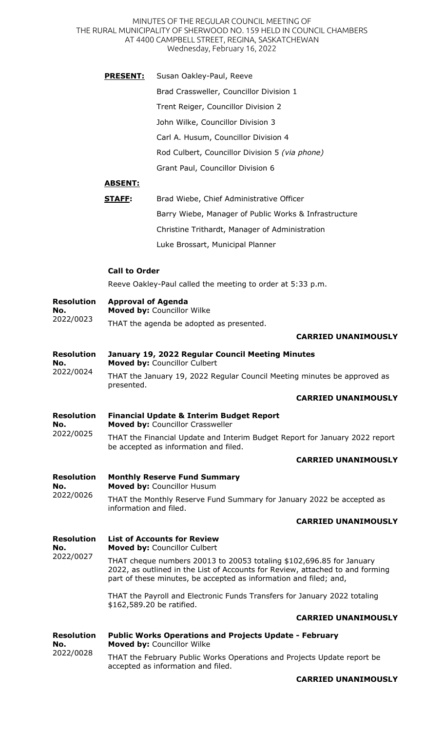MINUTES OF THE REGULAR COUNCIL MEETING OF THE RURAL MUNICIPALITY OF SHERWOOD NO. 159 HELD IN COUNCIL CHAMBERS AT 4400 CAMPBELL STREET, REGINA, SASKATCHEWAN Wednesday, February 16, 2022

|                                       | <u>PRESENT:</u>                                                                                                                                                                                                            | Susan Oakley-Paul, Reeve                                                                    |  |
|---------------------------------------|----------------------------------------------------------------------------------------------------------------------------------------------------------------------------------------------------------------------------|---------------------------------------------------------------------------------------------|--|
|                                       |                                                                                                                                                                                                                            | Brad Crassweller, Councillor Division 1                                                     |  |
|                                       |                                                                                                                                                                                                                            | Trent Reiger, Councillor Division 2                                                         |  |
|                                       |                                                                                                                                                                                                                            | John Wilke, Councillor Division 3                                                           |  |
|                                       |                                                                                                                                                                                                                            | Carl A. Husum, Councillor Division 4                                                        |  |
|                                       |                                                                                                                                                                                                                            | Rod Culbert, Councillor Division 5 (via phone)                                              |  |
|                                       |                                                                                                                                                                                                                            | Grant Paul, Councillor Division 6                                                           |  |
|                                       | <u>ABSENT:</u>                                                                                                                                                                                                             |                                                                                             |  |
|                                       | <b>STAFF:</b>                                                                                                                                                                                                              | Brad Wiebe, Chief Administrative Officer                                                    |  |
|                                       |                                                                                                                                                                                                                            | Barry Wiebe, Manager of Public Works & Infrastructure                                       |  |
|                                       |                                                                                                                                                                                                                            | Christine Trithardt, Manager of Administration                                              |  |
|                                       |                                                                                                                                                                                                                            | Luke Brossart, Municipal Planner                                                            |  |
|                                       | <b>Call to Order</b>                                                                                                                                                                                                       |                                                                                             |  |
|                                       |                                                                                                                                                                                                                            | Reeve Oakley-Paul called the meeting to order at 5:33 p.m.                                  |  |
| <b>Resolution</b><br>No.              | <b>Approval of Agenda</b>                                                                                                                                                                                                  | Moved by: Councillor Wilke                                                                  |  |
| 2022/0023                             |                                                                                                                                                                                                                            | THAT the agenda be adopted as presented.                                                    |  |
|                                       |                                                                                                                                                                                                                            | <b>CARRIED UNANIMOUSLY</b>                                                                  |  |
| <b>Resolution</b><br>No.<br>2022/0024 |                                                                                                                                                                                                                            | January 19, 2022 Regular Council Meeting Minutes<br>Moved by: Councillor Culbert            |  |
|                                       | THAT the January 19, 2022 Regular Council Meeting minutes be approved as<br>presented.                                                                                                                                     |                                                                                             |  |
|                                       |                                                                                                                                                                                                                            | <b>CARRIED UNANIMOUSLY</b>                                                                  |  |
| <b>Resolution</b><br>No.<br>2022/0025 |                                                                                                                                                                                                                            | <b>Financial Update &amp; Interim Budget Report</b><br>Moved by: Councillor Crassweller     |  |
|                                       | THAT the Financial Update and Interim Budget Report for January 2022 report<br>be accepted as information and filed.                                                                                                       |                                                                                             |  |
|                                       |                                                                                                                                                                                                                            | <b>CARRIED UNANIMOUSLY</b>                                                                  |  |
| <b>Resolution</b><br>No.<br>2022/0026 |                                                                                                                                                                                                                            | <b>Monthly Reserve Fund Summary</b><br>Moved by: Councillor Husum                           |  |
|                                       | THAT the Monthly Reserve Fund Summary for January 2022 be accepted as<br>information and filed.                                                                                                                            |                                                                                             |  |
|                                       |                                                                                                                                                                                                                            | <b>CARRIED UNANIMOUSLY</b>                                                                  |  |
| <b>Resolution</b><br>No.              |                                                                                                                                                                                                                            | <b>List of Accounts for Review</b><br>Moved by: Councillor Culbert                          |  |
| 2022/0027                             | THAT cheque numbers 20013 to 20053 totaling \$102,696.85 for January<br>2022, as outlined in the List of Accounts for Review, attached to and forming<br>part of these minutes, be accepted as information and filed; and, |                                                                                             |  |
|                                       | THAT the Payroll and Electronic Funds Transfers for January 2022 totaling<br>\$162,589.20 be ratified.                                                                                                                     |                                                                                             |  |
|                                       |                                                                                                                                                                                                                            | <b>CARRIED UNANIMOUSLY</b>                                                                  |  |
| <b>Resolution</b><br>No.<br>2022/0028 |                                                                                                                                                                                                                            | <b>Public Works Operations and Projects Update - February</b><br>Moved by: Councillor Wilke |  |
|                                       |                                                                                                                                                                                                                            | THAT the February Public Works Operations and Projects Update report be                     |  |

accepted as information and filed.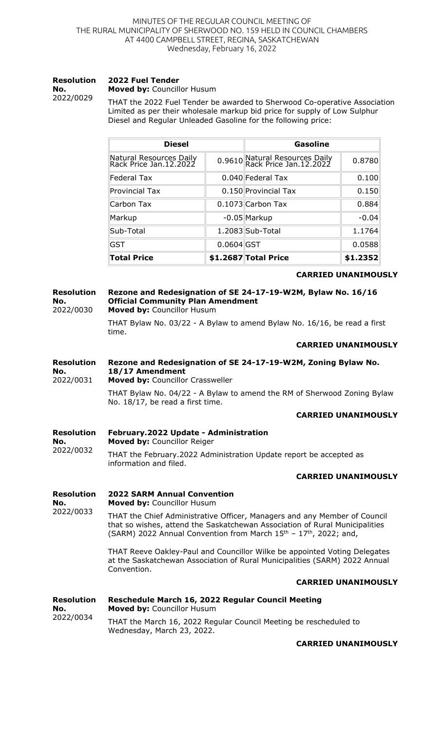#### **Resolution No.**  2022/0029 **2022 Fuel Tender Moved by:** Councillor Husum

THAT the 2022 Fuel Tender be awarded to Sherwood Co-operative Association Limited as per their wholesale markup bid price for supply of Low Sulphur Diesel and Regular Unleaded Gasoline for the following price:

| <b>Diesel</b>                                     |              | <b>Gasoline</b>                                          |          |
|---------------------------------------------------|--------------|----------------------------------------------------------|----------|
| Natural Resources Daily<br>Rack Price Jan.12.2022 |              | 0.9610 Natural Resources Daily<br>Rack Price Jan.12.2022 | 0.8780   |
| <b>Federal Tax</b>                                |              | 0.040 Federal Tax                                        | 0.100    |
| <b>Provincial Tax</b>                             |              | 0.150 Provincial Tax                                     | 0.150    |
| Carbon Tax                                        |              | 0.1073 Carbon Tax                                        | 0.884    |
| Markup                                            |              | $-0.05$ Markup                                           | $-0.04$  |
| Sub-Total                                         |              | 1.2083 Sub-Total                                         | 1.1764   |
| <b>GST</b>                                        | $0.0604$ GST |                                                          | 0.0588   |
| <b>Total Price</b>                                |              | \$1.2687 Total Price                                     | \$1.2352 |

### **CARRIED UNANIMOUSLY**

#### **Resolution No.**  2022/0030 **Rezone and Redesignation of SE 24-17-19-W2M, Bylaw No. 16/16 Official Community Plan Amendment**

**Moved by:** Councillor Husum

THAT Bylaw No. 03/22 - A Bylaw to amend Bylaw No. 16/16, be read a first time.

## **CARRIED UNANIMOUSLY**

#### **Resolution No. Rezone and Redesignation of SE 24-17-19-W2M, Zoning Bylaw No. 18/17 Amendment**

2022/0031 **Moved by:** Councillor Crassweller

> THAT Bylaw No. 04/22 - A Bylaw to amend the RM of Sherwood Zoning Bylaw No. 18/17, be read a first time.

## **CARRIED UNANIMOUSLY**

#### **Resolution No.**  2022/0032 **February.2022 Update - Administration Moved by:** Councillor Reiger THAT the February.2022 Administration Update report be accepted as information and filed.

### **CARRIED UNANIMOUSLY**

**Resolution No.**  2022/0033 **2022 SARM Annual Convention Moved by:** Councillor Husum THAT the Chief Administrative Officer, Managers and any Member of Council that so wishes, attend the Saskatchewan Association of Rural Municipalities (SARM) 2022 Annual Convention from March  $15<sup>th</sup> - 17<sup>th</sup>$ , 2022; and, THAT Reeve Oakley-Paul and Councillor Wilke be appointed Voting Delegates at the Saskatchewan Association of Rural Municipalities (SARM) 2022 Annual Convention. **CARRIED UNANIMOUSLY Resolution No.**  2022/0034 **Reschedule March 16, 2022 Regular Council Meeting Moved by:** Councillor Husum THAT the March 16, 2022 Regular Council Meeting be rescheduled to Wednesday, March 23, 2022.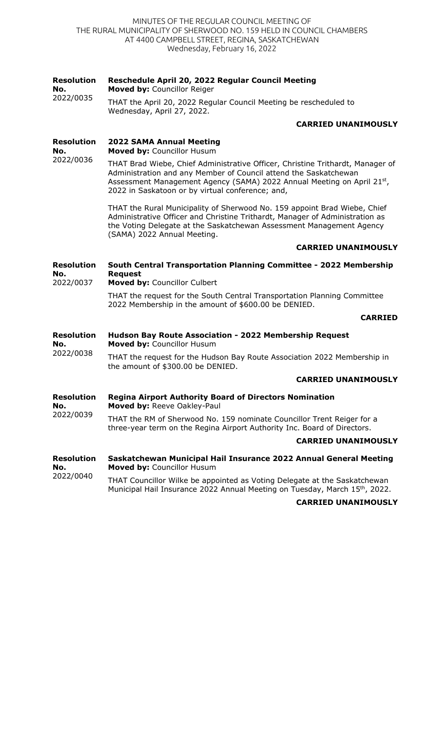## MINUTES OF THE REGULAR COUNCIL MEETING OF THE RURAL MUNICIPALITY OF SHERWOOD NO. 159 HELD IN COUNCIL CHAMBERS AT 4400 CAMPBELL STREET, REGINA, SASKATCHEWAN Wednesday, February 16, 2022

#### **Resolution Reschedule April 20, 2022 Regular Council Meeting**

**No. Moved by:** Councillor Reiger

2022/0035 THAT the April 20, 2022 Regular Council Meeting be rescheduled to Wednesday, April 27, 2022.

# **CARRIED UNANIMOUSLY**

**Resolution No.**  2022/0036 **2022 SAMA Annual Meeting Moved by:** Councillor Husum

THAT Brad Wiebe, Chief Administrative Officer, Christine Trithardt, Manager of Administration and any Member of Council attend the Saskatchewan Assessment Management Agency (SAMA) 2022 Annual Meeting on April 21st, 2022 in Saskatoon or by virtual conference; and,

THAT the Rural Municipality of Sherwood No. 159 appoint Brad Wiebe, Chief Administrative Officer and Christine Trithardt, Manager of Administration as the Voting Delegate at the Saskatchewan Assessment Management Agency (SAMA) 2022 Annual Meeting.

# **CARRIED UNANIMOUSLY**

**Resolution No.**  2022/0037 **South Central Transportation Planning Committee - 2022 Membership Request Moved by:** Councillor Culbert

> THAT the request for the South Central Transportation Planning Committee 2022 Membership in the amount of \$600.00 be DENIED.

## **CARRIED**

**Resolution No.**  2022/0038 **Hudson Bay Route Association - 2022 Membership Request Moved by:** Councillor Husum

THAT the request for the Hudson Bay Route Association 2022 Membership in the amount of \$300.00 be DENIED.

## **CARRIED UNANIMOUSLY**

**Resolution No.**  2022/0039 **Regina Airport Authority Board of Directors Nomination Moved by:** Reeve Oakley-Paul

THAT the RM of Sherwood No. 159 nominate Councillor Trent Reiger for a three-year term on the Regina Airport Authority Inc. Board of Directors.

### **CARRIED UNANIMOUSLY**

**Resolution No.**  2022/0040 **Saskatchewan Municipal Hail Insurance 2022 Annual General Meeting Moved by:** Councillor Husum

THAT Councillor Wilke be appointed as Voting Delegate at the Saskatchewan Municipal Hail Insurance 2022 Annual Meeting on Tuesday, March 15<sup>th</sup>, 2022.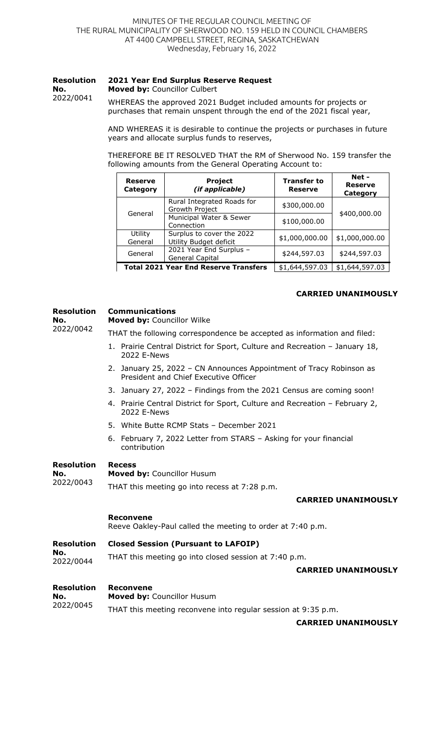#### **Resolution 2021 Year End Surplus Reserve Request**

**No. Moved by:** Councillor Culbert

2022/0041

WHEREAS the approved 2021 Budget included amounts for projects or purchases that remain unspent through the end of the 2021 fiscal year,

AND WHEREAS it is desirable to continue the projects or purchases in future years and allocate surplus funds to reserves,

THEREFORE BE IT RESOLVED THAT the RM of Sherwood No. 159 transfer the following amounts from the General Operating Account to:

| <b>Reserve</b><br>Category | Project<br>(if applicable)                          | <b>Transfer to</b><br><b>Reserve</b> | Net -<br><b>Reserve</b><br>Category |  |
|----------------------------|-----------------------------------------------------|--------------------------------------|-------------------------------------|--|
| General                    | Rural Integrated Roads for<br>Growth Project        | \$300,000.00                         | \$400,000.00                        |  |
|                            | Municipal Water & Sewer<br>Connection               | \$100,000.00                         |                                     |  |
| Utility<br>General         | Surplus to cover the 2022<br>Utility Budget deficit | \$1,000,000.00                       | \$1,000,000.00                      |  |
| General                    | 2021 Year End Surplus -<br>General Capital          | \$244,597.03                         | \$244,597.03                        |  |
|                            | <b>Total 2021 Year End Reserve Transfers</b>        | \$1,644,597.03                       | \$1,644,597.03                      |  |

## **CARRIED UNANIMOUSLY**

### **Resolution Communications Moved by:** Councillor Wilke

**No.**  2022/0042

THAT the following correspondence be accepted as information and filed:

- 1. Prairie Central District for Sport, Culture and Recreation January 18, 2022 E-News
- 2. January 25, 2022 CN Announces Appointment of Tracy Robinson as President and Chief Executive Officer
- 3. January 27, 2022 Findings from the 2021 Census are coming soon!
- 4. Prairie Central District for Sport, Culture and Recreation February 2, 2022 E-News
- 5. White Butte RCMP Stats December 2021
- 6. February 7, 2022 Letter from STARS Asking for your financial contribution

#### **Resolution Recess**

**No.**  2022/0043 **Moved by:** Councillor Husum THAT this meeting go into recess at 7:28 p.m.

## **CARRIED UNANIMOUSLY**

## **Reconvene**

Reeve Oakley-Paul called the meeting to order at 7:40 p.m.

#### **Resolution Closed Session (Pursuant to LAFOIP)**

**No.**  2022/0044 THAT this meeting go into closed session at 7:40 p.m.

### **CARRIED UNANIMOUSLY**

**Resolution Reconvene**

| No.<br>2022/0045 | <b>Moved by: Councillor Husum</b>                             |  |  |
|------------------|---------------------------------------------------------------|--|--|
|                  | THAT this meeting reconvene into regular session at 9:35 p.m. |  |  |